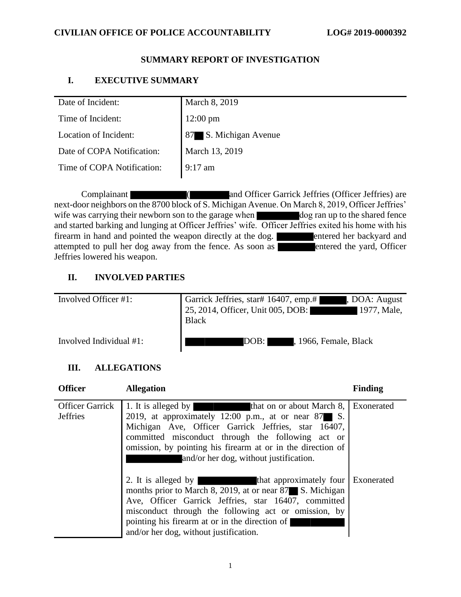# **CIVILIAN OFFICE OF POLICE ACCOUNTABILITY LOG# 2019-0000392**

# **SUMMARY REPORT OF INVESTIGATION**

# **I. EXECUTIVE SUMMARY**

| Date of Incident:          | March 8, 2019         |
|----------------------------|-----------------------|
| Time of Incident:          | 12:00 pm              |
| Location of Incident:      | 87 S. Michigan Avenue |
| Date of COPA Notification: | March 13, 2019        |
| Time of COPA Notification: | $9:17$ am             |
|                            |                       |

Complainant ( and Officer Garrick Jeffries (Officer Jeffries) are next-door neighbors on the 8700 block of S. Michigan Avenue. On March 8, 2019, Officer Jeffries' wife was carrying their newborn son to the garage when dog ran up to the shared fence and started barking and lunging at Officer Jeffries' wife. Officer Jeffries exited his home with his firearm in hand and pointed the weapon directly at the dog. firearm in hand and pointed the weapon directly at the dog. attempted to pull her dog away from the fence. As soon as **entered** the yard, Officer Jeffries lowered his weapon.

# **II. INVOLVED PARTIES**

| Involved Officer #1:    | Garrick Jeffries, star# 16407, emp.#<br>, DOA: August<br>25, 2014, Officer, Unit 005, DOB:<br>1977, Male,<br><b>Black</b> |
|-------------------------|---------------------------------------------------------------------------------------------------------------------------|
| Involved Individual #1: | , 1966, Female, Black<br>DOB: I                                                                                           |

# **III. ALLEGATIONS**

| <b>Officer</b>                            | <b>Allegation</b>                                                                                                                                                                                                                                                                                                                         | <b>Finding</b> |
|-------------------------------------------|-------------------------------------------------------------------------------------------------------------------------------------------------------------------------------------------------------------------------------------------------------------------------------------------------------------------------------------------|----------------|
| <b>Officer Garrick</b><br><b>Jeffries</b> | 1. It is alleged by<br>that on or about March 8, Exonerated<br>2019, at approximately 12:00 p.m., at or near $87$ S.<br>Michigan Ave, Officer Garrick Jeffries, star 16407,<br>committed misconduct through the following act or<br>omission, by pointing his firearm at or in the direction of<br>and/or her dog, without justification. |                |
|                                           | 2. It is alleged by that approximately four Exonerated<br>months prior to March 8, 2019, at or near 87 S. Michigan<br>Ave, Officer Garrick Jeffries, star 16407, committed<br>misconduct through the following act or omission, by<br>pointing his firearm at or in the direction of<br>and/or her dog, without justification.            |                |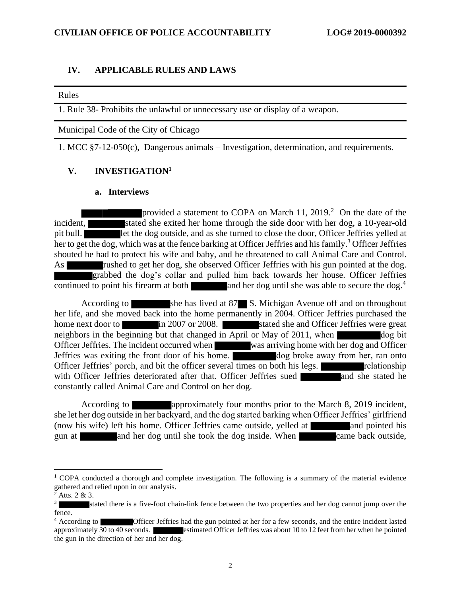## **IV. APPLICABLE RULES AND LAWS**

#### Rules

1. Rule 38- Prohibits the unlawful or unnecessary use or display of a weapon.

Municipal Code of the City of Chicago

1. MCC §7-12-050(c), Dangerous animals – Investigation, determination, and requirements.

## **V. INVESTIGATION<sup>1</sup>**

### **a. Interviews**

provided a statement to COPA on March 11,  $2019<sup>2</sup>$  On the date of the incident, stated she exited her home through the side door with her dog, a 10-year-old pit bull. **Show that the dog outside, and as she turned to close the door, Officer Jeffries yelled at** her to get the dog, which was at the fence barking at Officer Jeffries and his family.<sup>3</sup> Officer Jeffries shouted he had to protect his wife and baby, and he threatened to call Animal Care and Control. As **rushed to get her dog, she observed Officer Jeffries with his gun pointed at the dog.** grabbed the dog's collar and pulled him back towards her house. Officer Jeffries continued to point his firearm at both and her dog until she was able to secure the dog.<sup>4</sup>

According to she has lived at 87 S. Michigan Avenue off and on throughout her life, and she moved back into the home permanently in 2004. Officer Jeffries purchased the home next door to in 2007 or 2008. In stated she and Officer Jeffries were great neighbors in the beginning but that changed in April or May of 2011, when  $\log$  bit Officer Jeffries. The incident occurred when was arriving home with her dog and Officer Jeffries was exiting the front door of his home. dog broke away from her, ran onto Officer Jeffries' porch, and bit the officer several times on both his legs. relationship with Officer Jeffries deteriorated after that. Officer Jeffries sued and she stated he constantly called Animal Care and Control on her dog.

According to **approximately four months prior to the March 8, 2019 incident,** she let her dog outside in her backyard, and the dog started barking when Officer Jeffries' girlfriend (now his wife) left his home. Officer Jeffries came outside, yelled at and pointed his gun at and her dog until she took the dog inside. When came back outside,

 $1$  COPA conducted a thorough and complete investigation. The following is a summary of the material evidence gathered and relied upon in our analysis.

 $^{2}$  Atts. 2 & 3.

<sup>3</sup> stated there is a five-foot chain-link fence between the two properties and her dog cannot jump over the fence.

<sup>&</sup>lt;sup>4</sup> According to **Officer Jeffries had the gun pointed at her for a few seconds, and the entire incident lasted approximately 30 to 40 seconds. <b>External external extended** Officer Jeffries was about 10 to 12 feet from her estimated Officer Jeffries was about 10 to 12 feet from her when he pointed the gun in the direction of her and her dog.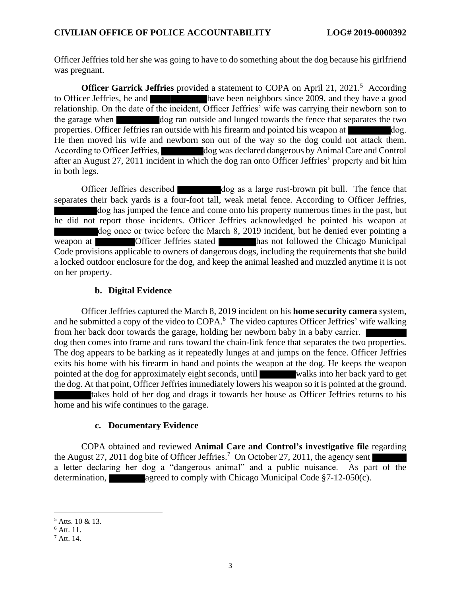Officer Jeffries told her she was going to have to do something about the dog because his girlfriend was pregnant.

**Officer Garrick Jeffries** provided a statement to COPA on April 21, 2021.<sup>5</sup> According to Officer Jeffries, he and have been neighbors since 2009, and they have a good relationship. On the date of the incident, Officer Jeffries' wife was carrying their newborn son to the garage when dog ran outside and lunged towards the fence that separates the two properties. Officer Jeffries ran outside with his firearm and pointed his weapon at dog. He then moved his wife and newborn son out of the way so the dog could not attack them. According to Officer Jeffries, dog was declared dangerous by Animal Care and Control after an August 27, 2011 incident in which the dog ran onto Officer Jeffries' property and bit him in both legs.

Officer Jeffries described dog as a large rust-brown pit bull. The fence that separates their back yards is a four-foot tall, weak metal fence. According to Officer Jeffries, dog has jumped the fence and come onto his property numerous times in the past, but he did not report those incidents. Officer Jeffries acknowledged he pointed his weapon at dog once or twice before the March 8, 2019 incident, but he denied ever pointing a weapon at **Officer Jeffries stated** has not followed the Chicago Municipal Code provisions applicable to owners of dangerous dogs, including the requirements that she build a locked outdoor enclosure for the dog, and keep the animal leashed and muzzled anytime it is not on her property.

## **b. Digital Evidence**

Officer Jeffries captured the March 8, 2019 incident on his **home security camera** system, and he submitted a copy of the video to COPA.<sup>6</sup> The video captures Officer Jeffries' wife walking from her back door towards the garage, holding her newborn baby in a baby carrier. dog then comes into frame and runs toward the chain-link fence that separates the two properties. The dog appears to be barking as it repeatedly lunges at and jumps on the fence. Officer Jeffries exits his home with his firearm in hand and points the weapon at the dog. He keeps the weapon pointed at the dog for approximately eight seconds, until walks into her back yard to get the dog. At that point, Officer Jeffries immediately lowers his weapon so it is pointed at the ground. takes hold of her dog and drags it towards her house as Officer Jeffries returns to his

home and his wife continues to the garage.

## **c. Documentary Evidence**

COPA obtained and reviewed **Animal Care and Control's investigative file** regarding the August 27, 2011 dog bite of Officer Jeffries.<sup>7</sup> On October 27, 2011, the agency sent a letter declaring her dog a "dangerous animal" and a public nuisance. As part of the determination, agreed to comply with Chicago Municipal Code  $\S7-12-050(c)$ .

<sup>5</sup> Atts. 10 & 13.

<sup>6</sup> Att. 11.

<sup>7</sup> Att. 14.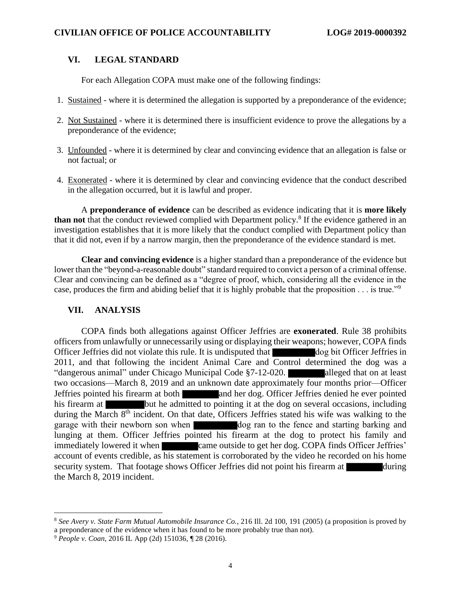## **VI. LEGAL STANDARD**

For each Allegation COPA must make one of the following findings:

- 1. Sustained where it is determined the allegation is supported by a preponderance of the evidence;
- 2. Not Sustained where it is determined there is insufficient evidence to prove the allegations by a preponderance of the evidence;
- 3. Unfounded where it is determined by clear and convincing evidence that an allegation is false or not factual; or
- 4. Exonerated where it is determined by clear and convincing evidence that the conduct described in the allegation occurred, but it is lawful and proper.

A **preponderance of evidence** can be described as evidence indicating that it is **more likely**  than not that the conduct reviewed complied with Department policy.<sup>8</sup> If the evidence gathered in an investigation establishes that it is more likely that the conduct complied with Department policy than that it did not, even if by a narrow margin, then the preponderance of the evidence standard is met.

**Clear and convincing evidence** is a higher standard than a preponderance of the evidence but lower than the "beyond-a-reasonable doubt" standard required to convict a person of a criminal offense. Clear and convincing can be defined as a "degree of proof, which, considering all the evidence in the case, produces the firm and abiding belief that it is highly probable that the proposition . . . is true."<sup>9</sup>

## **VII. ANALYSIS**

COPA finds both allegations against Officer Jeffries are **exonerated**. Rule 38 prohibits officers from unlawfully or unnecessarily using or displaying their weapons; however, COPA finds Officer Jeffries did not violate this rule. It is undisputed that dog bit Officer Jeffries in 2011, and that following the incident Animal Care and Control determined the dog was a "dangerous animal" under Chicago Municipal Code §7-12-020. alleged that on at least two occasions—March 8, 2019 and an unknown date approximately four months prior—Officer Jeffries pointed his firearm at both and her dog. Officer Jeffries denied he ever pointed his firearm at but he admitted to pointing it at the dog on several occasions, including during the March 8<sup>th</sup> incident. On that date, Officers Jeffries stated his wife was walking to the garage with their newborn son when dog ran to the fence and starting barking and lunging at them. Officer Jeffries pointed his firearm at the dog to protect his family and immediately lowered it when came outside to get her dog. COPA finds Officer Jeffries' account of events credible, as his statement is corroborated by the video he recorded on his home security system. That footage shows Officer Jeffries did not point his firearm at during the March 8, 2019 incident.

<sup>8</sup> *See Avery v. State Farm Mutual Automobile Insurance Co.*, 216 Ill. 2d 100, 191 (2005) (a proposition is proved by a preponderance of the evidence when it has found to be more probably true than not).

<sup>9</sup> *People v. Coan*, 2016 IL App (2d) 151036, ¶ 28 (2016).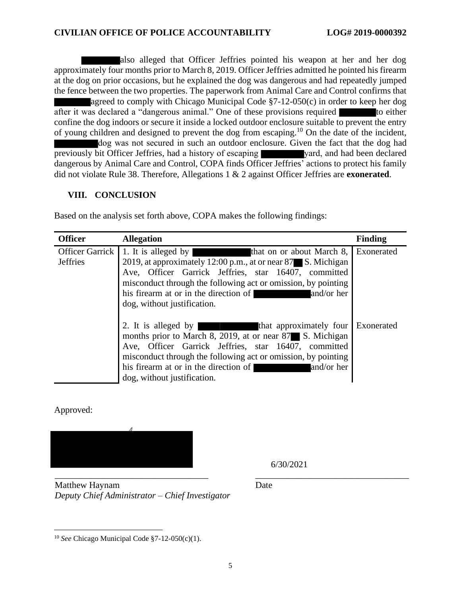also alleged that Officer Jeffries pointed his weapon at her and her dog approximately four months prior to March 8, 2019. Officer Jeffries admitted he pointed his firearm at the dog on prior occasions, but he explained the dog was dangerous and had repeatedly jumped the fence between the two properties. The paperwork from Animal Care and Control confirms that agreed to comply with Chicago Municipal Code §7-12-050(c) in order to keep her dog after it was declared a "dangerous animal." One of these provisions required to either confine the dog indoors or secure it inside a locked outdoor enclosure suitable to prevent the entry of young children and designed to prevent the dog from escaping.<sup>10</sup> On the date of the incident, dog was not secured in such an outdoor enclosure. Given the fact that the dog had previously bit Officer Jeffries, had a history of escaping vard, and had been declared dangerous by Animal Care and Control, COPA finds Officer Jeffries' actions to protect his family did not violate Rule 38. Therefore, Allegations 1 & 2 against Officer Jeffries are **exonerated**.

# **VIII. CONCLUSION**

| <b>Officer</b>                     | <b>Allegation</b>                                                                                                                                                                                                                                                                                                            | <b>Finding</b> |
|------------------------------------|------------------------------------------------------------------------------------------------------------------------------------------------------------------------------------------------------------------------------------------------------------------------------------------------------------------------------|----------------|
| Officer Garrick<br><b>Jeffries</b> | 1. It is alleged by<br>that on or about March 8,<br>2019, at approximately 12:00 p.m., at or near 87 S. Michigan<br>Ave, Officer Garrick Jeffries, star 16407, committed<br>misconduct through the following act or omission, by pointing<br>his firearm at or in the direction of and/or her<br>dog, without justification. | Exonerated     |
|                                    | 2. It is alleged by that approximately four<br>months prior to March 8, 2019, at or near 87 S. Michigan<br>Ave, Officer Garrick Jeffries, star 16407, committed<br>misconduct through the following act or omission, by pointing<br>his firearm at or in the direction of<br>and/or her<br>dog, without justification.       | Exonerated     |

Based on the analysis set forth above, COPA makes the following findings:

Approved:



6/30/2021

\_\_\_\_\_\_\_\_\_\_\_\_\_\_\_\_\_\_\_\_\_\_\_\_\_\_\_\_\_\_\_\_\_\_ \_\_\_\_\_\_\_\_\_\_\_\_\_\_\_\_\_\_\_\_\_\_\_\_\_\_\_\_\_\_\_\_\_\_ Matthew Haynam *Deputy Chief Administrator – Chief Investigator*

Date

<sup>10</sup> *See* Chicago Municipal Code §7-12-050(c)(1).